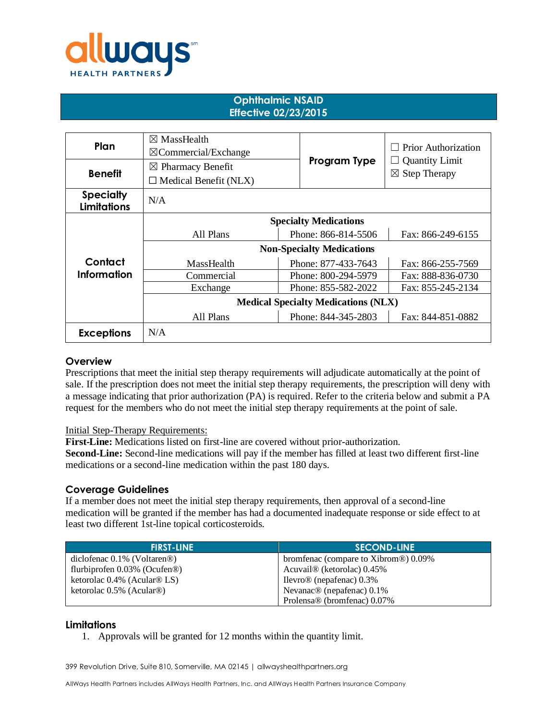

### **Ophthalmic NSAID Effective 02/23/2015**

| Plan                                   | $\boxtimes$ MassHealth<br>$\boxtimes$ Commercial/Exchange |                     | <b>Prior Authorization</b> |
|----------------------------------------|-----------------------------------------------------------|---------------------|----------------------------|
| <b>Benefit</b>                         | $\boxtimes$ Pharmacy Benefit                              | Program Type        | <b>Quantity Limit</b>      |
|                                        | $\Box$ Medical Benefit (NLX)                              |                     | $\boxtimes$ Step Therapy   |
| <b>Specialty</b><br><b>Limitations</b> | N/A                                                       |                     |                            |
|                                        | <b>Specialty Medications</b>                              |                     |                            |
|                                        | All Plans                                                 | Phone: 866-814-5506 | Fax: 866-249-6155          |
|                                        | <b>Non-Specialty Medications</b>                          |                     |                            |
| Contact                                | MassHealth                                                | Phone: 877-433-7643 | Fax: 866-255-7569          |
| <b>Information</b>                     | Commercial                                                | Phone: 800-294-5979 | Fax: 888-836-0730          |
|                                        | Exchange                                                  | Phone: 855-582-2022 | Fax: 855-245-2134          |
|                                        | <b>Medical Specialty Medications (NLX)</b>                |                     |                            |
|                                        | All Plans                                                 | Phone: 844-345-2803 | Fax: 844-851-0882          |
| <b>Exceptions</b>                      | N/A                                                       |                     |                            |

#### **Overview**

Prescriptions that meet the initial step therapy requirements will adjudicate automatically at the point of sale. If the prescription does not meet the initial step therapy requirements, the prescription will deny with a message indicating that prior authorization (PA) is required. Refer to the criteria below and submit a PA request for the members who do not meet the initial step therapy requirements at the point of sale.

#### Initial Step-Therapy Requirements:

**First-Line:** Medications listed on first-line are covered without prior-authorization.

**Second-Line:** Second-line medications will pay if the member has filled at least two different first-line medications or a second-line medication within the past 180 days.

#### **Coverage Guidelines**

If a member does not meet the initial step therapy requirements, then approval of a second-line medication will be granted if the member has had a documented inadequate response or side effect to at least two different 1st-line topical corticosteroids.

| <b>FIRST-LINE</b>                            | <b>SECOND-LINE</b>                     |
|----------------------------------------------|----------------------------------------|
| diclofenac $0.1\%$ (Voltaren <sup>®</sup> )  | bromfenac (compare to Xibrom®) 0.09%   |
| flurbiprofen $0.03\%$ (Ocufen <sup>®</sup> ) | Acuvail <sup>®</sup> (ketorolac) 0.45% |
| ketorolac $0.4\%$ (Acular <sup>®</sup> LS)   | Ilevro $\circledR$ (nepafenac) 0.3%    |
| ketorolac $0.5\%$ (Acular <sup>®)</sup>      | Nevanac $\circledR$ (nepafenac) 0.1%   |
|                                              | Prolensa® (bromfenac) 0.07%            |

#### **Limitations**

1. Approvals will be granted for 12 months within the quantity limit.

399 Revolution Drive, Suite 810, Somerville, MA 02145 | allwayshealthpartners.org